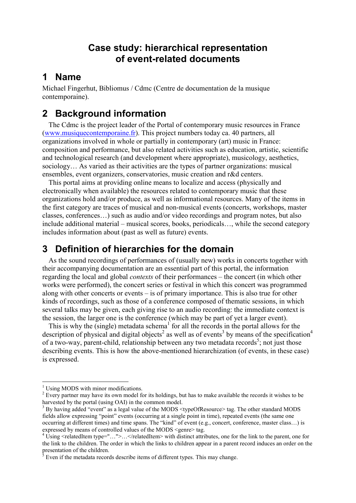### **Case study: hierarchical representation of event-related documents**

### **1 Name**

Michael Fingerhut, Bibliomus / Cdmc (Centre de documentation de la musique contemporaine).

# **2 Background information**

The Cdmc is the project leader of the Portal of contemporary music resources in France (www.musiquecontemporaine.fr). This project numbers today ca. 40 partners, all organizations involved in whole or partially in contemporary (art) music in France: composition and performance, but also related activities such as education, artistic, scientific and technological research (and development where appropriate), musicology, aesthetics, sociology… As varied as their activities are the types of partner organizations: musical ensembles, event organizers, conservatories, music creation and r&d centers.

This portal aims at providing online means to localize and access (physically and electronically when available) the resources related to contemporary music that these organizations hold and/or produce, as well as informational resources. Many of the items in the first category are traces of musical and non-musical events (concerts, workshops, master classes, conferences…) such as audio and/or video recordings and program notes, but also include additional material – musical scores, books, periodicals…, while the second category includes information about (past as well as future) events.

## **3 Definition of hierarchies for the domain**

As the sound recordings of performances of (usually new) works in concerts together with their accompanying documentation are an essential part of this portal, the information regarding the local and global *contexts* of their performances – the concert (in which other works were performed), the concert series or festival in which this concert was programmed along with other concerts or events – is of primary importance. This is also true for other kinds of recordings, such as those of a conference composed of thematic sessions, in which several talks may be given, each giving rise to an audio recording: the immediate context is the session, the larger one is the conference (which may be part of yet a larger event).

This is why the (single) metadata schema<sup>1</sup> for all the records in the portal allows for the description of physical and digital objects<sup>2</sup> as well as of events<sup>3</sup> by means of the specification<sup>4</sup> of a two-way, parent-child, relationship between any two metadata records<sup>5</sup>; not just those describing events. This is how the above-mentioned hierarchization (of events, in these case) is expressed.

 $\overline{a}$ <sup>1</sup> Using MODS with minor modifications.

 $2^{2}$  Every partner may have its own model for its holdings, but has to make available the records it wishes to be harvested by the portal (using OAI) in the common model.

 $3$  By having added "event" as a legal value of the MODS <typeOfResource> tag. The other standard MODS fields allow expressing "point" events (occurring at a single point in time), repeated events (the same one occurring at different times) and time spans. The "kind" of event (e.g., concert, conference, master class…) is expressed by means of controlled values of the MODS <genre> tag.

<sup>&</sup>lt;sup>4</sup> Using  $\le$ relatedItem type="...">... $\le$ /relatedItem> with distinct attributes, one for the link to the parent, one for the link to the children. The order in which the links to children appear in a parent record induces an order on the presentation of the children.

 $<sup>5</sup>$  Even if the metadata records describe items of different types. This may change.</sup>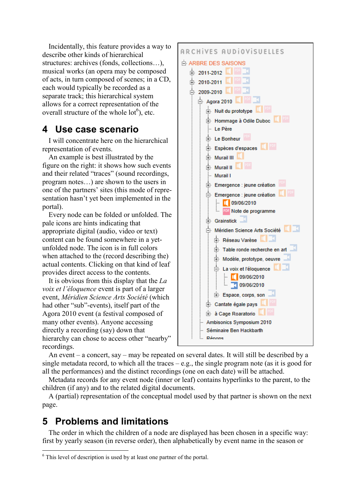Incidentally, this feature provides a way to describe other kinds of hierarchical structures: archives (fonds, collections…), musical works (an opera may be composed of acts, in turn composed of scenes; in a CD, each would typically be recorded as a separate track; this hierarchical system allows for a correct representation of the overall structure of the whole  $\text{lot}^6$ ), etc.

## **4 Use case scenario**

I will concentrate here on the hierarchical representation of events.

An example is best illustrated by the figure on the right: it shows how such events and their related "traces" (sound recordings, program notes…) are shown to the users in one of the partners' sites (this mode of representation hasn't yet been implemented in the portal).

Every node can be folded or unfolded. The pale icons are hints indicating that appropriate digital (audio, video or text) content can be found somewhere in a yetunfolded node. The icon is in full colors when attached to the (record describing the) actual contents. Clicking on that kind of leaf provides direct access to the contents.

It is obvious from this display that the *La voix et l'éloquence* event is part of a larger event, *Méridien Science Arts Société* (which had other "sub"-events), itself part of the Agora 2010 event (a festival composed of many other events). Anyone accessing directly a recording (say) down that hierarchy can chose to access other "nearby" recordings.



An event – a concert, say – may be repeated on several dates. It will still be described by a single metadata record, to which all the traces – e.g., the single program note (as it is good for all the performances) and the distinct recordings (one on each date) will be attached.

Metadata records for any event node (inner or leaf) contains hyperlinks to the parent, to the children (if any) and to the related digital documents.

A (partial) representation of the conceptual model used by that partner is shown on the next page.

## **5 Problems and limitations**

The order in which the children of a node are displayed has been chosen in a specific way: first by yearly season (in reverse order), then alphabetically by event name in the season or

 $\overline{a}$ <sup>6</sup> This level of description is used by at least one partner of the portal.